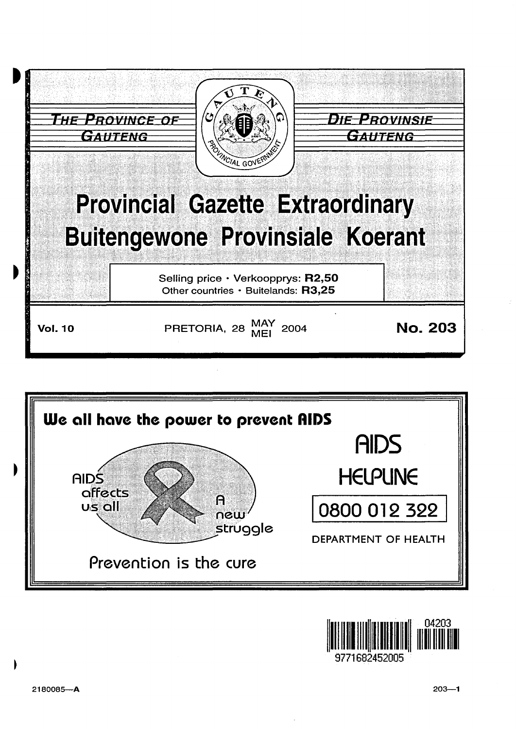





9771682452009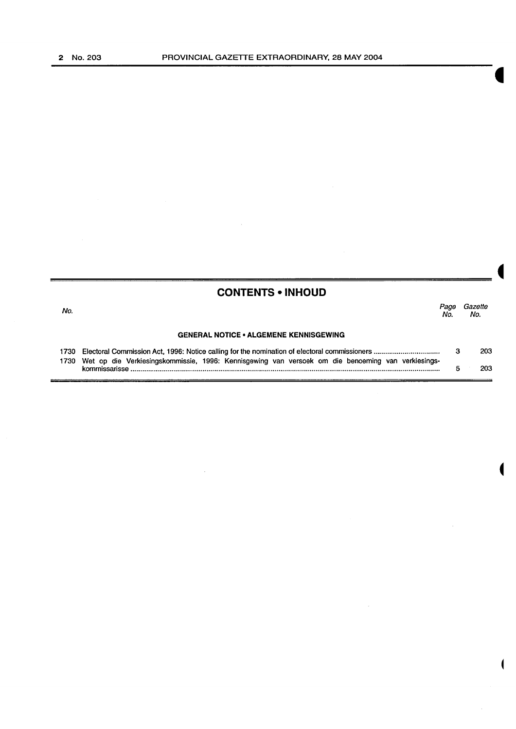|                                               | <b>CONTENTS • INHOUD</b>      |
|-----------------------------------------------|-------------------------------|
| No.                                           | Gazette<br>Page<br>No.<br>No. |
| <b>GENERAL NOTICE • ALGEMENE KENNISGEWING</b> |                               |

 $\hat{\boldsymbol{\beta}}$ 

l.

1730 Electoral Commission Act, 1996: Notice calling for the nomination of electoral commissioners ................................. . 3 203 Wet op die Verkiesingskommissie, 1996: Kennisgewing van versoek om die benoeming van verkiesingskommlssansse .............................................................................................................................................................. . 5 203

 $\overline{\phantom{a}}$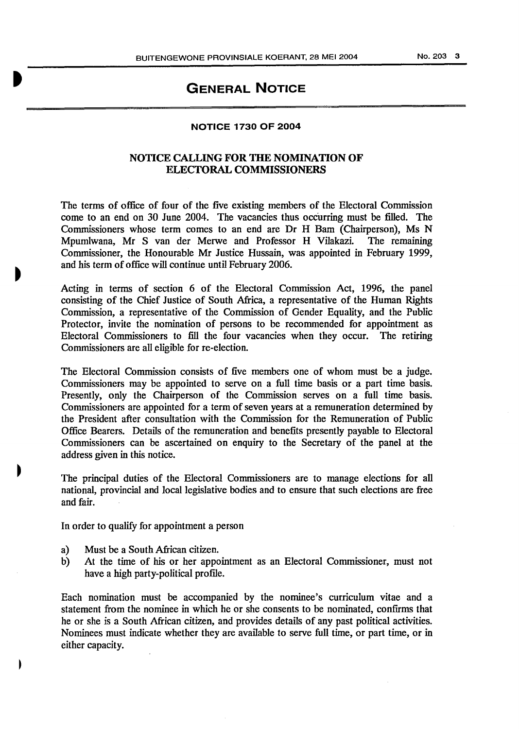# **GENERAL NOTICE**

#### NOTICE 1730 OF 2004

### NOTICE CALLING FOR THE NOMINATION OF ELECTORAL COMMISSIONERS

The terms of office of four of the five existing members of the Electoral Commission come to an end on 30 June 2004. The vacancies thus occurring must be filled. The Commissioners whose term comes to an end are Dr H Bam (Chairperson), Ms N Mpurnlwana, Mr S van der Merwe and Professor H Vilakazi. The remaining Commissioner, the Honourable Mr Justice Hussain, was appointed in February 1999, and his term of office will continue until February 2006.

Acting in terms of section 6 of the Electoral Commission Act, 1996, the panel consisting of the Chief Justice of South Africa, a representative of the Human Rights Commission, a representative of the Commission of Gender Equality, and the Public Protector, invite the nomination of persons to be recommended for appointment as Electoral Commissioners to fill the four vacancies when they occur. The retiring Commissioners are all eligible for re-election.

The Electoral Commission consists of five members one of whom must be a judge. Commissioners may be appointed to serve on a full time basis or a part time basis. Presently, only the Chairperson of the Commission serves on a full time basis. Commissioners are appointed for a term of seven years at a remuneration determined by the President after consultation with the Commission for the Remuneration of Public Office Bearers. Details of the remuneration and benefits presently payable to Electoral Commissioners can be ascertained on enquiry to the Secretary of the panel at the address given in this notice.

The principal duties of the Electoral Commissioners are to manage elections for all national, provincial and local legislative bodies and to ensure that such elections are free and fair.

In order to qualify for appointment a person

- a) Must be a South African citizen.
- b) At the time of his or her appointment as an Electoral Commissioner, must not have a high party-political profile.

Each nomination must be accompanied by the nominee's curriculum vitae and a statement from the nominee in which he or she consents to be nominated, confirms that he or she is a South African citizen, and provides details of any past political activities. Nominees must indicate whether they are available to serve full time, or part time, or in either capacity.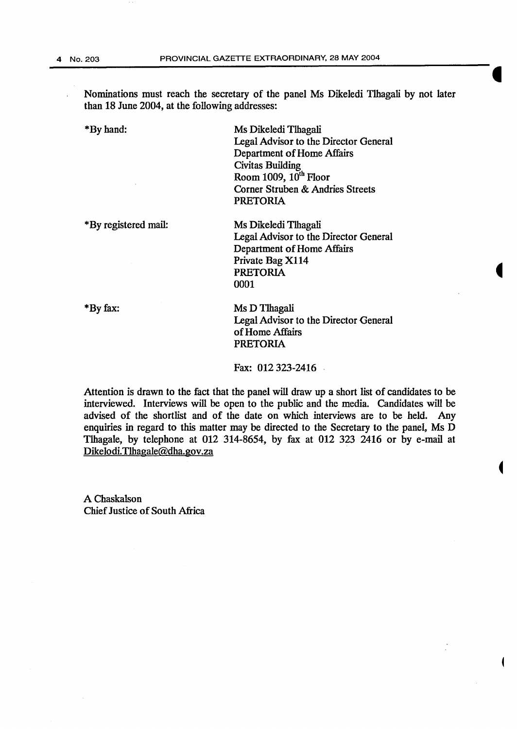Nominations must reach the secretary of the panel Ms Dikeledi Tlhagali by not later than 18 June 2004, at the following addresses:

\*By hand:

Ms Dikeledi Tlhagali Legal Advisor to the Director General Department of Home Affairs Civitas Building Room 1009,  $10^{th}$  Floor Corner Struben & Andries Streets PRETORIA

\*By registered mail:

Ms Dikeledi Tlhagali Legal Advisor to the Director General Department of Home Affairs Private Bag X114 PRETORIA 0001

\*By fax:

Ms D Tlhagali Legal Advisor to the Director General of Home Affairs PRETORIA

ŧ

Fax: 012 323-2416

Attention is drawn to the fact that the panel will draw up a short list of candidates to be interviewed. Interviews will be open to the public and the media. Candidates will be advised of the shortlist and of the date on which interviews are to be held. Any enquiries in regard to this matter may be directed to the Secretary to the panel, Ms D Tlhagale, by telephone at 012 314-8654, by fax at 012 323 2416 or by e-mail at Dikelodi. Tlhagale@dha.gov.za

A Chaskalson Chief Justice of South Africa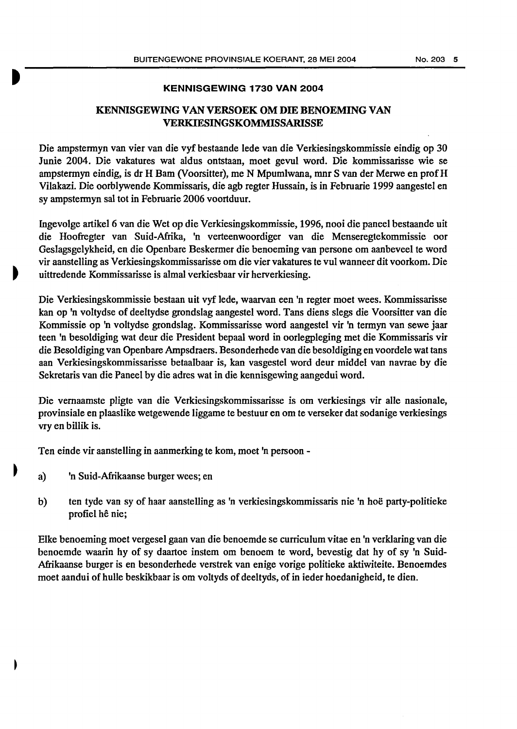#### KENNISGEWING 1730 VAN 2004

## KENNISGEWING VAN VERSOEK OM DIE BENOEMING VAN VERKIESINGSKOMMISSARISSE

Die ampstermyn van vier van die vyf bestaande lede van die Verkiesingskommissie eindig op 30 Junie 2004. Die vakatures wat aldus ontstaan, moet gevul word. Die kommissarisse wie se ampstermyn eindig, is dr H Bam (Voorsitter), me N Mpumlwana, mnr S van der Merwe en prof H Vilakazi. Die oorblywende Kommissaris, die agb regter Hussain, is in Februarie 1999 aangestel en sy ampstennyn sal tot in Februarie 2006 voortduur.

Ingevolge artikel6 van die Wet op die Verkiesingskommissie, 1996, nooi die paneel bestaande uit die Hoofregter van Suid-Afrika, 'n verteenwoordiger van die Menseregtekommissie oar Geslagsgelykheid, en die Openbare Beskenner die benoeming van persone om aanbeveel te word vir aanstelling as Verkiesingskommissarisse om die vier vakatures te vul wanneer dit voorkom. Die uittredende Kommissarisse is almal verkiesbaar vir herverkiesing.

Die Verkiesingskommissie bestaan uit vyf lede, waarvan een 'n regter moet wees. Kommissarisse kan op 'n voltydse of deeltydse grondslag aangestel word. Tans diens slegs die Voorsitter van die Kommissie op 'n voltydse grondslag. Kommissarisse word aangestel vir 'n termyn van sewe jaar teen 'n besoldiging wat deur die President bepaal word in oorlegpleging met die Kommissaris vir die Besoldiging van Openbare Ampsdraers. Besonderhede van die besoldiging en voordele wat tans aan Verkiesingskommissarisse betaalbaar is, kan vasgestel word deur middel van navrae by die Sekretaris van die Paneel by die adres wat in die kennisgewing aangedui word.

Die vemaamste pligte van die Verkiesingskommissarisse is om verkiesings vir aile nasionale, provinsiale en plaaslike wetgewende liggame te bestuur en om te verseker dat sodanige verkiesings vry en billik is.

Ten einde vir aanstelling in aanmerking te kom, moet 'n persoon -

- a) 'n Suid-Afrikaanse burger wees; en
- b) ten tyde van sy of haar aanstelling as 'n verkiesingskommissaris nie 'n hoe party-politieke profiel he nie;

Elke benoeming moet vergesel gaan van die benoemde se curriculum vitae en 'n verklaring van die benoemde waarin hy of sy daartoe instem om benoem te word, bevestig dat hy of sy 'n Suid-Afrikaanse burger is en besonderhede verstrek van enige vorige politieke aktiwiteite. Benoemdes moet aandui of hulle beskikbaar is om voltyds of deeltyds, of in ieder hoedanigheid, te dien.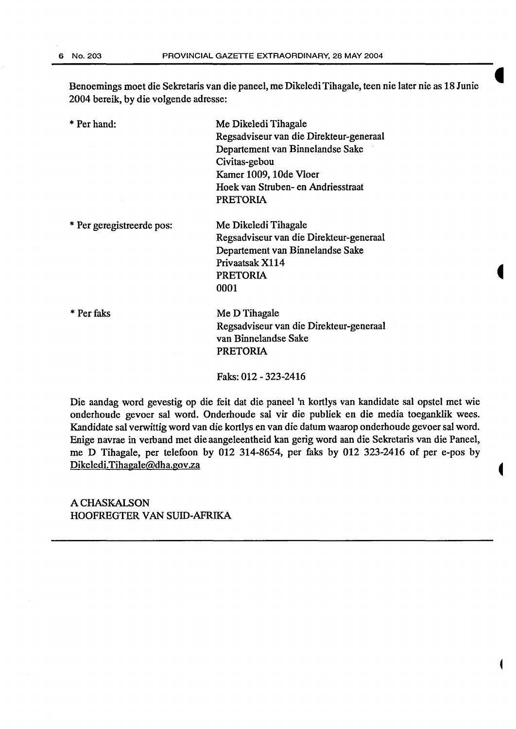Benoemings moet die Sekretaris van die paneel, me Dikeledi Tihagale, teen nie later nie as 18 Junie 2004 bereik, by die volgende adresse:

\*Per hand:

Me Dikeledi Tihagale Regsadviseur van die Direkteur-generaal Departement van Binnelandse Sake Civitas-gebou Kamer 1009, 10de Vloer Hoek van Struben- en Andriesstraat PRETORIA

\* Per geregistreerde pos:

Me Dikeledi Tihagale Regsadviseur van die Direkteur-generaal Departement van Binnelandse Sake Privaatsak X114 PRETORIA 0001

\* Perfaks

Me D Tihagale Regsadviseur van die Direkteur-generaal van Binnelandse Sake PRETORIA

Faks: 012-323-2416

Die aandag word gevestig op die feit dat die paneel 'n kortlys van kandidate sal opstel met wie onderhoude gevoer sal word. Onderhoude sal vir die publiek en die media toeganklik wees. Kandidate sal verwittig word van die kortlys en van die datum waarop onderhoude gevoer sal word. Enige navrae in verband met die aangeleentheid kan gerig word aan die Sekretaris van die Paneel, me D Tihagale, per telefoon by 012 314-8654, per faks by 012 323-2416 of per e-pos by Dikeledi.Tihagale@dha.gov.za

A CHASKALSON HOOFREGTER VAN SUID-AFRIKA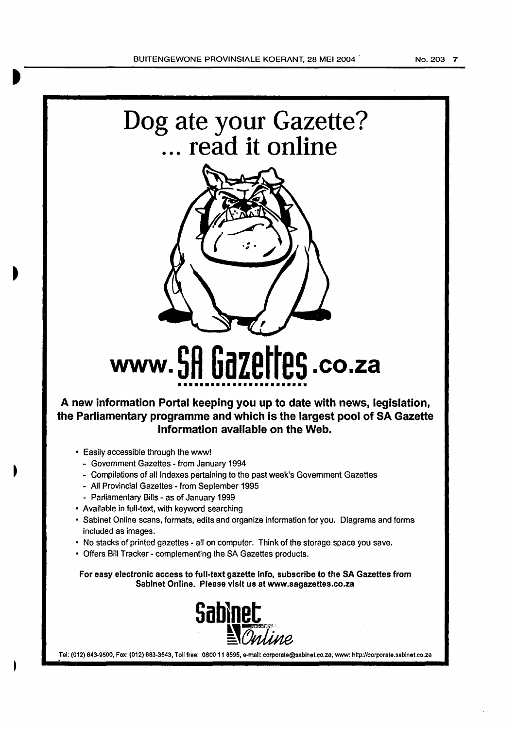

**A new information Portal keeping you up to date with news, legislation, the Parliamentary programme and which is the largest pool of SA Gazette information available on the Web.** 

- Easily accessible through the www!
	- Government Gazettes from January 1994
	- Compilations of all Indexes pertaining to the past week's Government Gazettes
	- All Provincial Gazettes- from September 1995
	- Parliamentary Bills as of January 1999
- Available in full-text, with keyword searching
- Sabinet Online scans, formats, edits and organize information for you. Diagrams and forms included as images.
- No stacks of printed gazettes- all on computer. Think of the storage space you save.
- Offers Bill Tracker- complementing the SA Gazettes products.

For easy electronic access to full-text gazette Info, subscribe to the SA Gazettes from Sablnet Online. Please visit us at www.sagazettes.co.za



Tel: (012) 643-9500, Fax: (012) 663-3543, Toll free: 0800 11 8595, e-mail: corporate@sabinet.co.za, www: http://corporate.sabinet.co.za